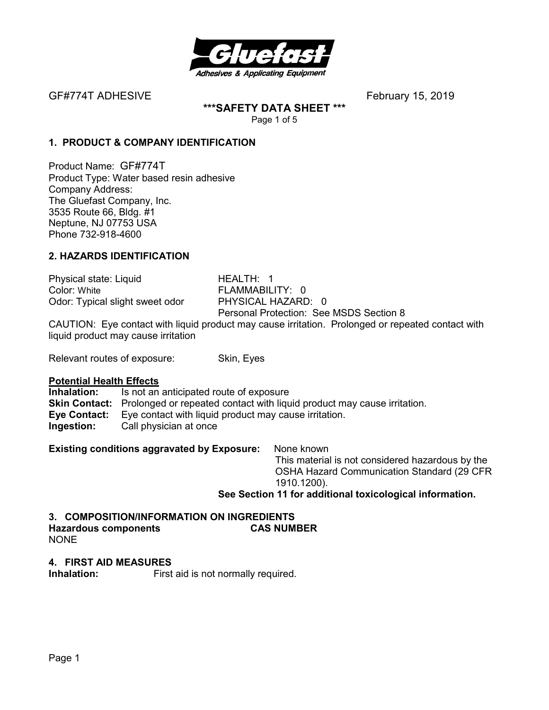

GF#774T ADHESIVEFebruary 15, 2019

**\*\*\*SAFETY DATA SHEET \*\*\***  Page 1 of 5

## **1. PRODUCT & COMPANY IDENTIFICATION**

Product Name: GF#774T Product Type: Water based resin adhesive Company Address: The Gluefast Company, Inc. 3535 Route 66, Bldg. #1 Neptune, NJ 07753 USA Phone 732-918-4600

## **2. HAZARDS IDENTIFICATION**

Physical state: Liquid HEALTH: 1 Color: White **FLAMMABILITY: 0** Odor: Typical slight sweet odor PHYSICAL HAZARD: 0

Personal Protection: See MSDS Section 8

CAUTION: Eye contact with liquid product may cause irritation. Prolonged or repeated contact with liquid product may cause irritation

Relevant routes of exposure: Skin, Eyes

#### **Potential Health Effects**

**Inhalation:** Is not an anticipated route of exposure **Skin Contact:** Prolonged or repeated contact with liquid product may cause irritation. **Eye Contact:** Eye contact with liquid product may cause irritation. **Ingestion:** Call physician at once

**Existing conditions aggravated by Exposure:** None known

This material is not considered hazardous by the OSHA Hazard Communication Standard (29 CFR 1910.1200).

**See Section 11 for additional toxicological information.** 

# **3. COMPOSITION/INFORMATION ON INGREDIENTS Hazardous components CAS NUMBER**

NONE

#### **4. FIRST AID MEASURES**

**Inhalation:** First aid is not normally required.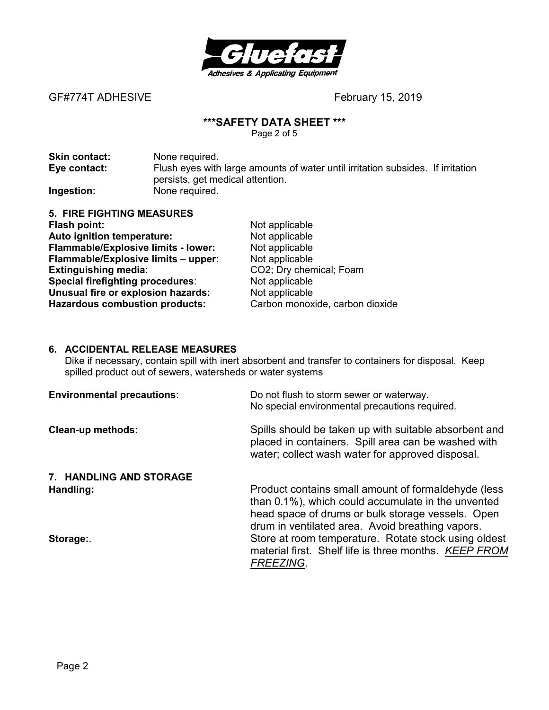

GF#774T ADHESIVE **BEF#774T ADHESIVE** 

#### **\*\*\*SAFETY DATA SHEET \*\*\***

Page 2 of 5

| <b>Skin contact:</b> | None required.                                                                  |
|----------------------|---------------------------------------------------------------------------------|
| Eye contact:         | Flush eyes with large amounts of water until irritation subsides. If irritation |
|                      | persists, get medical attention.                                                |
| Ingestion:           | None required.                                                                  |

| 5. FIRE FIGHTING MEASURES                  |  |
|--------------------------------------------|--|
| Flash point:                               |  |
| Auto ignition temperature:                 |  |
| <b>Flammable/Explosive limits - lower:</b> |  |
| Flammable/Explosive limits - upper:        |  |
| <b>Extinguishing media:</b>                |  |
| Special firefighting procedures:           |  |
| Unusual fire or explosion hazards:         |  |
| <b>Hazardous combustion products:</b>      |  |

**Not applicable Not applicable Not applicable Flammable/Explosive limits** – **upper:** Not applicable **Extinguishing media**: CO2; Dry chemical; Foam Not applicable **Not applicable** Carbon monoxide, carbon dioxide

#### **6. ACCIDENTAL RELEASE MEASURES**

Dike if necessary, contain spill with inert absorbent and transfer to containers for disposal. Keep spilled product out of sewers, watersheds or water systems

| <b>Environmental precautions:</b> | Do not flush to storm sewer or waterway.<br>No special environmental precautions required.                                                                                                                         |
|-----------------------------------|--------------------------------------------------------------------------------------------------------------------------------------------------------------------------------------------------------------------|
| <b>Clean-up methods:</b>          | Spills should be taken up with suitable absorbent and<br>placed in containers. Spill area can be washed with<br>water; collect wash water for approved disposal.                                                   |
| 7. HANDLING AND STORAGE           |                                                                                                                                                                                                                    |
| Handling:                         | Product contains small amount of formaldehyde (less<br>than 0.1%), which could accumulate in the unvented<br>head space of drums or bulk storage vessels. Open<br>drum in ventilated area. Avoid breathing vapors. |
| Storage:                          | Store at room temperature. Rotate stock using oldest<br>material first. Shelf life is three months. KEEP FROM<br><b>FREEZING.</b>                                                                                  |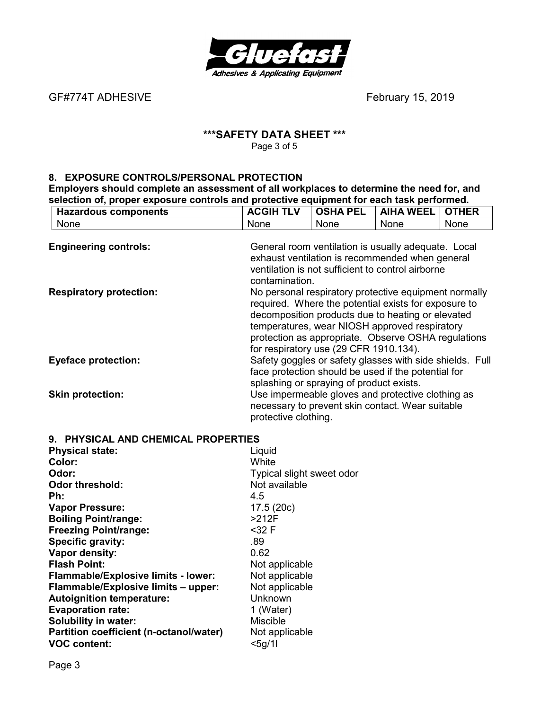

GF#774T ADHESIVE *CHARGE ADHESIVE February* 15, 2019

#### **\*\*\*SAFETY DATA SHEET \*\*\***  Page 3 of 5

#### **8. EXPOSURE CONTROLS/PERSONAL PROTECTION**

**Evaporation rate:** 1 (Water)<br> **Solubility in water:** 1 (Water) **Solubility in water:** Miscible Miscible<br> **Partition coefficient (n-octanol/water)** Not applicable

**VOC content:** <5g/1l

**Partition coefficient (n-octanol/water)** 

**Employers should complete an assessment of all workplaces to determine the need for, and selection of, proper exposure controls and protective equipment for each task performed.** 

| <b>Hazardous components</b>         | <b>ACGIH TLV</b>          | <b>OSHA PEL</b>                                                                                                                                                                                                                                                                                                      | <b>AIHA WEEL</b> | <b>OTHER</b> |
|-------------------------------------|---------------------------|----------------------------------------------------------------------------------------------------------------------------------------------------------------------------------------------------------------------------------------------------------------------------------------------------------------------|------------------|--------------|
| None                                | None                      | None                                                                                                                                                                                                                                                                                                                 | None             | None         |
| <b>Engineering controls:</b>        | contamination.            | General room ventilation is usually adequate. Local<br>exhaust ventilation is recommended when general<br>ventilation is not sufficient to control airborne                                                                                                                                                          |                  |              |
| <b>Respiratory protection:</b>      |                           | No personal respiratory protective equipment normally<br>required. Where the potential exists for exposure to<br>decomposition products due to heating or elevated<br>temperatures, wear NIOSH approved respiratory<br>protection as appropriate. Observe OSHA regulations<br>for respiratory use (29 CFR 1910.134). |                  |              |
| <b>Eyeface protection:</b>          |                           | Safety goggles or safety glasses with side shields. Full<br>face protection should be used if the potential for<br>splashing or spraying of product exists.                                                                                                                                                          |                  |              |
| <b>Skin protection:</b>             | protective clothing.      | Use impermeable gloves and protective clothing as<br>necessary to prevent skin contact. Wear suitable                                                                                                                                                                                                                |                  |              |
| 9. PHYSICAL AND CHEMICAL PROPERTIES |                           |                                                                                                                                                                                                                                                                                                                      |                  |              |
| <b>Physical state:</b>              | Liquid                    |                                                                                                                                                                                                                                                                                                                      |                  |              |
| Color:                              | White                     |                                                                                                                                                                                                                                                                                                                      |                  |              |
| Odor:                               | Typical slight sweet odor |                                                                                                                                                                                                                                                                                                                      |                  |              |
| Odor threshold:                     | Not available             |                                                                                                                                                                                                                                                                                                                      |                  |              |
| Ph:                                 | 4.5                       |                                                                                                                                                                                                                                                                                                                      |                  |              |
| <b>Vapor Pressure:</b>              | 17.5(20c)                 |                                                                                                                                                                                                                                                                                                                      |                  |              |
| <b>Boiling Point/range:</b>         | $>212F$                   |                                                                                                                                                                                                                                                                                                                      |                  |              |
| <b>Freezing Point/range:</b>        | $32 F$                    |                                                                                                                                                                                                                                                                                                                      |                  |              |
| <b>Specific gravity:</b>            | .89                       |                                                                                                                                                                                                                                                                                                                      |                  |              |
| Vapor density:                      | 0.62                      |                                                                                                                                                                                                                                                                                                                      |                  |              |
| <b>Flash Point:</b>                 | Not applicable            |                                                                                                                                                                                                                                                                                                                      |                  |              |
| Flammable/Explosive limits - lower: | Not applicable            |                                                                                                                                                                                                                                                                                                                      |                  |              |
| Flammable/Explosive limits - upper: | Not applicable            |                                                                                                                                                                                                                                                                                                                      |                  |              |
| <b>Autoignition temperature:</b>    | Unknown                   |                                                                                                                                                                                                                                                                                                                      |                  |              |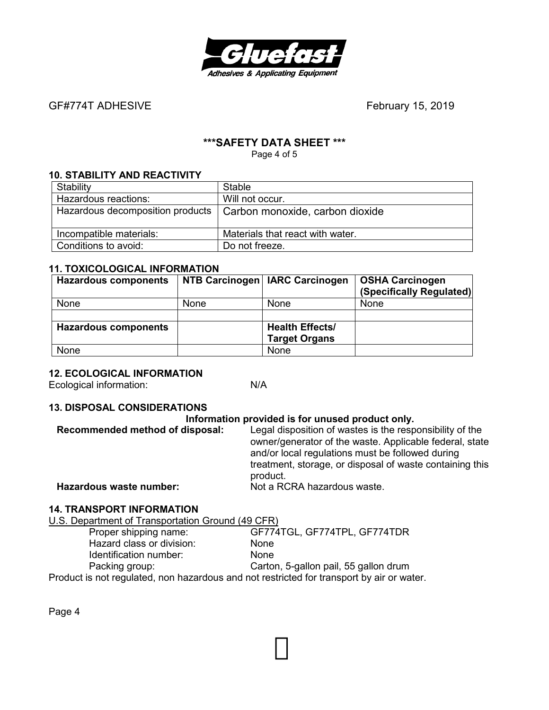

GF#774T ADHESIVEFebruary 15, 2019

# **\*\*\*SAFETY DATA SHEET \*\*\***

Page 4 of 5

# **10. STABILITY AND REACTIVITY**

| Stability               | <b>Stable</b>                                                      |
|-------------------------|--------------------------------------------------------------------|
| Hazardous reactions:    | Will not occur.                                                    |
|                         | Hazardous decomposition products   Carbon monoxide, carbon dioxide |
| Incompatible materials: | Materials that react with water.                                   |
| Conditions to avoid:    | Do not freeze.                                                     |

#### **11. TOXICOLOGICAL INFORMATION**

| <b>Hazardous components</b> |             | NTB Carcinogen   IARC Carcinogen | <b>OSHA Carcinogen</b>   |
|-----------------------------|-------------|----------------------------------|--------------------------|
|                             |             |                                  | (Specifically Regulated) |
| <b>None</b>                 | <b>None</b> | <b>None</b>                      | None                     |
|                             |             |                                  |                          |
| <b>Hazardous components</b> |             | <b>Health Effects/</b>           |                          |
|                             |             | <b>Target Organs</b>             |                          |
| None                        |             | None                             |                          |

#### **12. ECOLOGICAL INFORMATION**

Ecological information: N/A

# **13. DISPOSAL CONSIDERATIONS**

#### **Information provided is for unused product only.**

| Recommended method of disposal: | Legal disposition of wastes is the responsibility of the<br>owner/generator of the waste. Applicable federal, state<br>and/or local regulations must be followed during<br>treatment, storage, or disposal of waste containing this<br>product. |  |
|---------------------------------|-------------------------------------------------------------------------------------------------------------------------------------------------------------------------------------------------------------------------------------------------|--|
| Hazardous waste number:         | Not a RCRA hazardous waste.                                                                                                                                                                                                                     |  |

#### **14. TRANSPORT INFORMATION**

U.S. Department of Transportation Ground (49 CFR)

| Proper shipping name:                                                                     | GF774TGL, GF774TPL, GF774TDR          |  |
|-------------------------------------------------------------------------------------------|---------------------------------------|--|
| Hazard class or division:                                                                 | <b>None</b>                           |  |
| Identification number:                                                                    | <b>None</b>                           |  |
| Packing group:                                                                            | Carton, 5-gallon pail, 55 gallon drum |  |
| Product is not regulated, non hazardous and not restricted for transport by air or water. |                                       |  |

Page 4